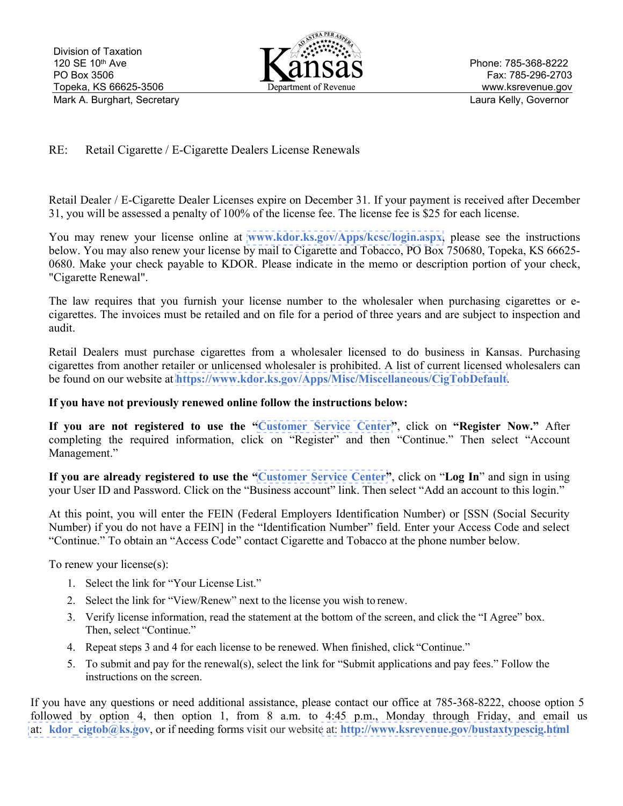

## RE: Retail Cigarette / E-Cigarette Dealers License Renewals

Retail Dealer / E-Cigarette Dealer Licenses expire on December 31. If your payment is received after December 31, you will be assessed a penalty of 100% of the license fee. The license fee is \$25 for each license.

You may renew your license online at **[www.kdor.ks.gov/Apps/kcsc/login.aspx](https://www.kdor.ks.gov/Apps/kcsc/login.aspx)**, please see the instructions below. You may also renew your license by mail to Cigarette and Tobacco, PO Box 750680, Topeka, KS 66625- 0680. Make your check payable to KDOR. Please indicate in the memo or description portion of your check, "Cigarette Renewal".

The law requires that you furnish your license number to the wholesaler when purchasing cigarettes or ecigarettes. The invoices must be retailed and on file for a period of three years and are subject to inspection and audit.

Retail Dealers must purchase cigarettes from a wholesaler licensed to do business in Kansas. Purchasing cigarettes from another retailer or unlicensed wholesaler is prohibited. A list of current licensed wholesalers can be found on our website at **[https://www.kdor.ks.gov/Apps/Misc/Miscellaneous/CigTobDefault](https://www.kdor.ks.gov/Apps/Misc/Miscellaneous/CigToDefault)**.

## **If you have not previously renewed online follow the instructions below:**

**If you are not registered to use the ["Customer Service Center"](https://www.kdor.ks.gov/Apps/kcsc/login.aspx)**, click on **"Register Now."** After completing the required information, click on "Register" and then "Continue." Then select "Account Management."

**If you are already registered to use the ["Customer Service Center"](https://www.kdor.ks.gov/Apps/kcsc/login.aspx)**, click on "**Log In**" and sign in using your User ID and Password. Click on the "Business account" link. Then select "Add an account to this login."

At this point, you will enter the FEIN (Federal Employers Identification Number) or [SSN (Social Security Number) if you do not have a FEIN] in the "Identification Number" field. Enter your Access Code and select "Continue." To obtain an "Access Code" contact Cigarette and Tobacco at the phone number below.

To renew your license(s):

- 1. Select the link for "Your License List."
- 2. Select the link for "View/Renew" next to the license you wish to renew.
- 3. Verify license information, read the statement at the bottom of the screen, and click the "I Agree" box. Then, select "Continue."
- 4. Repeat steps 3 and 4 for each license to be renewed. When finished, click "Continue."
- 5. To submit and pay for the renewal(s), select the link for "Submit applications and pay fees." Follow the instructions on the screen.

If you have any questions or need additional assistance, please contact our office at 785-368-8222, choose option 5 followed by option 4, then option 1, from 8 a.m. to 4:45 p.m., Monday through Friday, and email us at: **[kdor\\_cigtob@ks.g](mailto:kdor_cigtob@ks.gov)ov**, or if needing forms visit our website at: **[http://www.ksrevenue.](https://www.ksrevenue.org/bustaxtypescig.html)gov/bustaxtypescig.html**